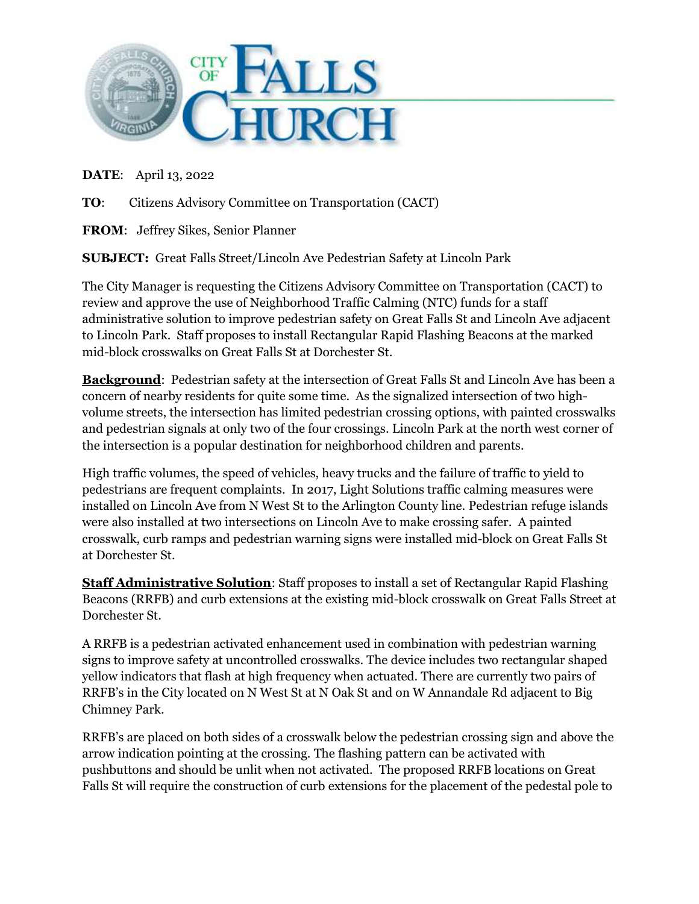

## **DATE**: April 13, 2022

**TO**: Citizens Advisory Committee on Transportation (CACT)

**FROM**: Jeffrey Sikes, Senior Planner

**SUBJECT:** Great Falls Street/Lincoln Ave Pedestrian Safety at Lincoln Park

The City Manager is requesting the Citizens Advisory Committee on Transportation (CACT) to review and approve the use of Neighborhood Traffic Calming (NTC) funds for a staff administrative solution to improve pedestrian safety on Great Falls St and Lincoln Ave adjacent to Lincoln Park. Staff proposes to install Rectangular Rapid Flashing Beacons at the marked mid-block crosswalks on Great Falls St at Dorchester St.

**Background**: Pedestrian safety at the intersection of Great Falls St and Lincoln Ave has been a concern of nearby residents for quite some time. As the signalized intersection of two highvolume streets, the intersection has limited pedestrian crossing options, with painted crosswalks and pedestrian signals at only two of the four crossings. Lincoln Park at the north west corner of the intersection is a popular destination for neighborhood children and parents.

High traffic volumes, the speed of vehicles, heavy trucks and the failure of traffic to yield to pedestrians are frequent complaints. In 2017, Light Solutions traffic calming measures were installed on Lincoln Ave from N West St to the Arlington County line. Pedestrian refuge islands were also installed at two intersections on Lincoln Ave to make crossing safer. A painted crosswalk, curb ramps and pedestrian warning signs were installed mid-block on Great Falls St at Dorchester St.

**Staff Administrative Solution:** Staff proposes to install a set of Rectangular Rapid Flashing Beacons (RRFB) and curb extensions at the existing mid-block crosswalk on Great Falls Street at Dorchester St.

A RRFB is a pedestrian activated enhancement used in combination with pedestrian warning signs to improve safety at uncontrolled crosswalks. The device includes two rectangular shaped yellow indicators that flash at high frequency when actuated. There are currently two pairs of RRFB's in the City located on N West St at N Oak St and on W Annandale Rd adjacent to Big Chimney Park.

RRFB's are placed on both sides of a crosswalk below the pedestrian crossing sign and above the arrow indication pointing at the crossing. The flashing pattern can be activated with pushbuttons and should be unlit when not activated. The proposed RRFB locations on Great Falls St will require the construction of curb extensions for the placement of the pedestal pole to